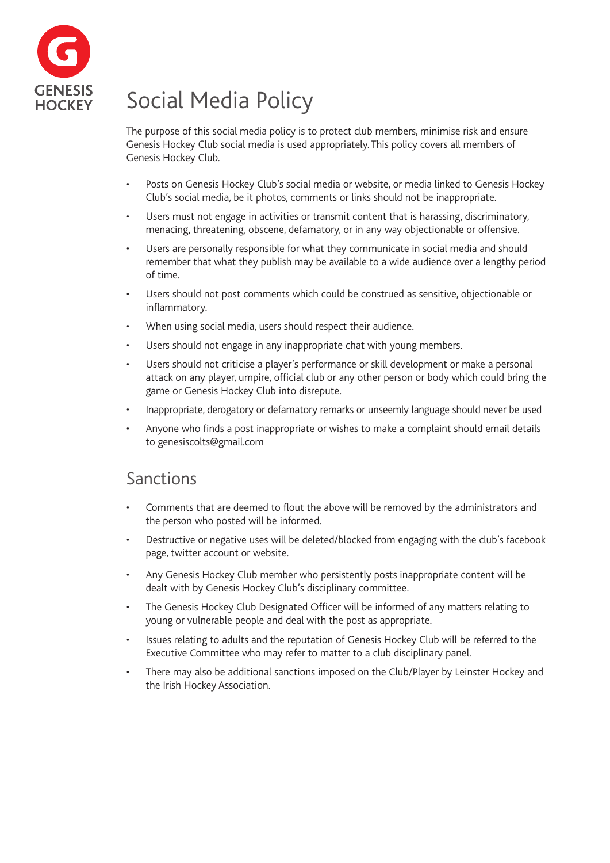

# Social Media Policy

The purpose of this social media policy is to protect club members, minimise risk and ensure Genesis Hockey Club social media is used appropriately. This policy covers all members of Genesis Hockey Club.

- Posts on Genesis Hockey Club's social media or website, or media linked to Genesis Hockey Club's social media, be it photos, comments or links should not be inappropriate.
- Users must not engage in activities or transmit content that is harassing, discriminatory, menacing, threatening, obscene, defamatory, or in any way objectionable or offensive.
- Users are personally responsible for what they communicate in social media and should remember that what they publish may be available to a wide audience over a lengthy period of time.
- Users should not post comments which could be construed as sensitive, objectionable or inflammatory.
- When using social media, users should respect their audience.
- Users should not engage in any inappropriate chat with young members.
- Users should not criticise a player's performance or skill development or make a personal attack on any player, umpire, official club or any other person or body which could bring the game or Genesis Hockey Club into disrepute.
- Inappropriate, derogatory or defamatory remarks or unseemly language should never be used
- Anyone who finds a post inappropriate or wishes to make a complaint should email details to genesiscolts@gmail.com

### Sanctions

- Comments that are deemed to flout the above will be removed by the administrators and the person who posted will be informed.
- Destructive or negative uses will be deleted/blocked from engaging with the club's facebook page, twitter account or website.
- Any Genesis Hockey Club member who persistently posts inappropriate content will be dealt with by Genesis Hockey Club's disciplinary committee.
- The Genesis Hockey Club Designated Officer will be informed of any matters relating to young or vulnerable people and deal with the post as appropriate.
- Issues relating to adults and the reputation of Genesis Hockey Club will be referred to the Executive Committee who may refer to matter to a club disciplinary panel.
- There may also be additional sanctions imposed on the Club/Player by Leinster Hockey and the Irish Hockey Association.